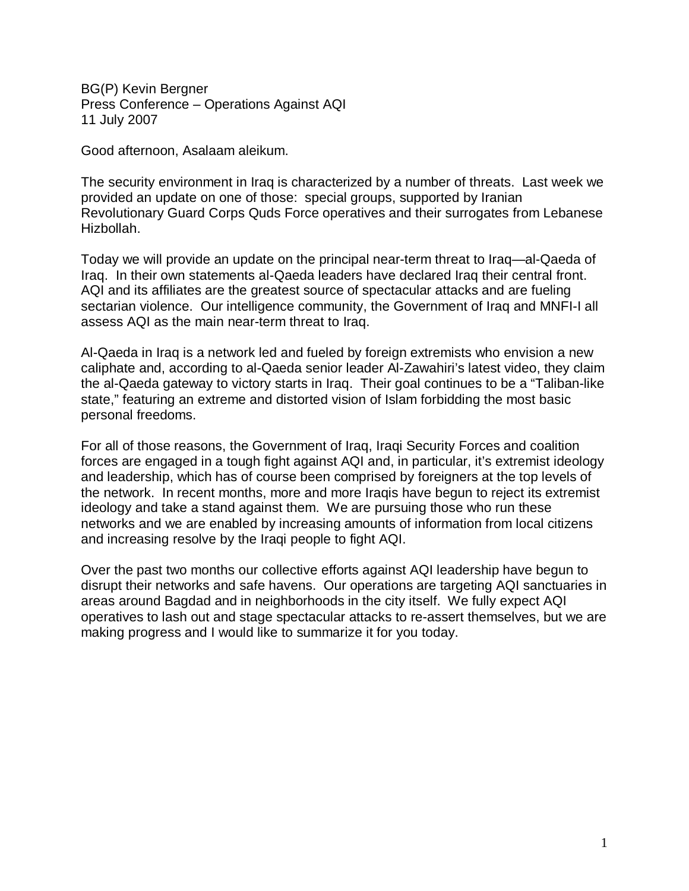BG(P) Kevin Bergner Press Conference – Operations Against AQI 11 July 2007

Good afternoon, Asalaam aleikum.

The security environment in Iraq is characterized by a number of threats. Last week we provided an update on one of those: special groups, supported by Iranian Revolutionary Guard Corps Quds Force operatives and their surrogates from Lebanese Hizbollah.

Today we will provide an update on the principal near-term threat to Iraq—al-Qaeda of Iraq. In their own statements al-Qaeda leaders have declared Iraq their central front. AQI and its affiliates are the greatest source of spectacular attacks and are fueling sectarian violence. Our intelligence community, the Government of Iraq and MNFI-I all assess AQI as the main near-term threat to Iraq.

Al-Qaeda in Iraq is a network led and fueled by foreign extremists who envision a new caliphate and, according to al-Qaeda senior leader Al-Zawahiri's latest video, they claim the al-Qaeda gateway to victory starts in Iraq. Their goal continues to be a "Taliban-like state," featuring an extreme and distorted vision of Islam forbidding the most basic personal freedoms.

For all of those reasons, the Government of Iraq, Iraqi Security Forces and coalition forces are engaged in a tough fight against AQI and, in particular, it's extremist ideology and leadership, which has of course been comprised by foreigners at the top levels of the network. In recent months, more and more Iraqis have begun to reject its extremist ideology and take a stand against them. We are pursuing those who run these networks and we are enabled by increasing amounts of information from local citizens and increasing resolve by the Iraqi people to fight AQI.

Over the past two months our collective efforts against AQI leadership have begun to disrupt their networks and safe havens. Our operations are targeting AQI sanctuaries in areas around Bagdad and in neighborhoods in the city itself. We fully expect AQI operatives to lash out and stage spectacular attacks to re-assert themselves, but we are making progress and I would like to summarize it for you today.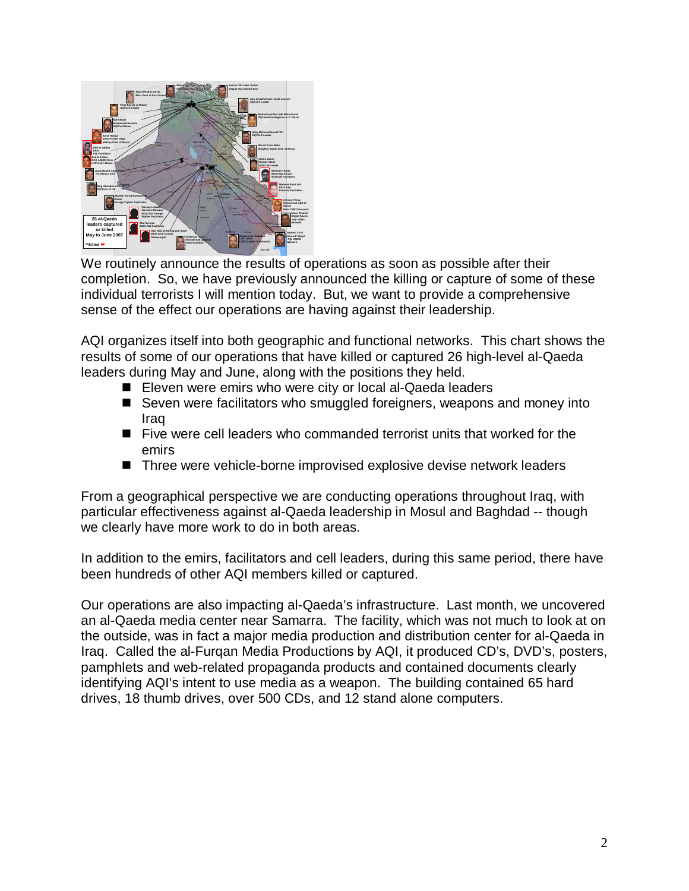

We routinely announce the results of operations as soon as possible after their completion. So, we have previously announced the killing or capture of some of these individual terrorists I will mention today. But, we want to provide a comprehensive sense of the effect our operations are having against their leadership.

AQI organizes itself into both geographic and functional networks. This chart shows the results of some of our operations that have killed or captured 26 high-level al-Qaeda leaders during May and June, along with the positions they held.

- Eleven were emirs who were city or local al-Qaeda leaders
- Seven were facilitators who smuggled foreigners, weapons and money into Iraq
- Five were cell leaders who commanded terrorist units that worked for the emirs
- Three were vehicle-borne improvised explosive devise network leaders

From a geographical perspective we are conducting operations throughout Iraq, with particular effectiveness against al-Qaeda leadership in Mosul and Baghdad -- though we clearly have more work to do in both areas.

In addition to the emirs, facilitators and cell leaders, during this same period, there have been hundreds of other AQI members killed or captured.

Our operations are also impacting al-Qaeda's infrastructure. Last month, we uncovered an al-Qaeda media center near Samarra. The facility, which was not much to look at on the outside, was in fact a major media production and distribution center for al-Qaeda in Iraq. Called the al-Furqan Media Productions by AQI, it produced CD's, DVD's, posters, pamphlets and web-related propaganda products and contained documents clearly identifying AQI's intent to use media as a weapon. The building contained 65 hard drives, 18 thumb drives, over 500 CDs, and 12 stand alone computers.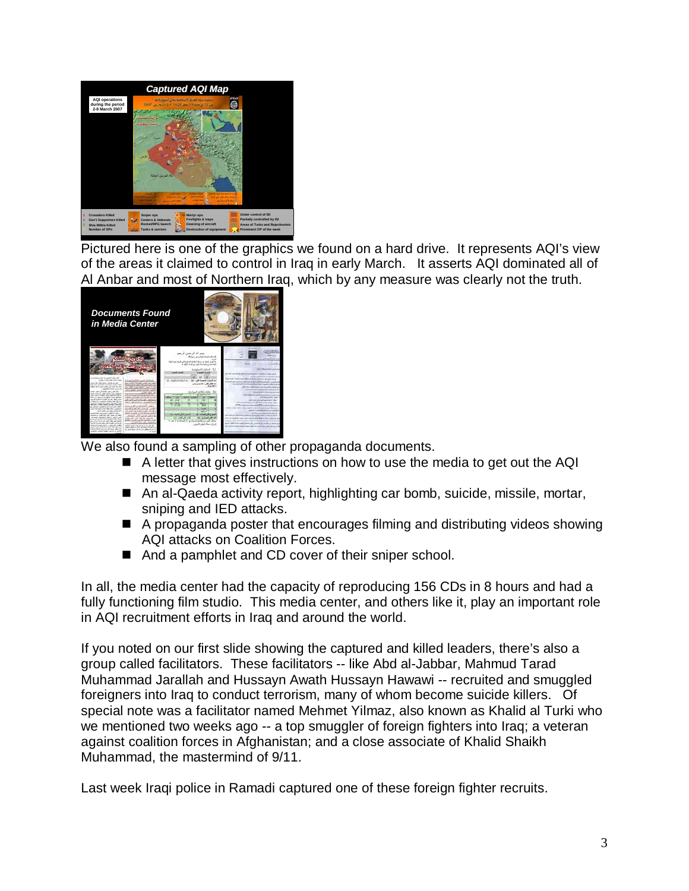

Pictured here is one of the graphics we found on a hard drive. It represents AQI's view of the areas it claimed to control in Iraq in early March. It asserts AQI dominated all of Al Anbar and most of Northern Iraq, which by any measure was clearly not the truth.

| <b>Documents Found</b><br>in Media Center                                                                                                                                                                                                                                                                                                                                                                                                                                                                                                                                                                                                                                                                                                                                                                                                                                                                                                                                                                                                                                                                                                                                                                                                                                                                                                                                                                                                                                                                                                                                                                                                                                                                                                                                                                                                                           |                                                                                                                                                                                                                                                                                                                                                                                                                                                                                                                                                                                                                                                                |                                                                                                                                                                                                                                                                                                                                                                                                                                                                                                                                                                                                                                                                                                                                                                                                                                                                                                                                                                                                                                                                                                                                                                                                                                                                                                                   |
|---------------------------------------------------------------------------------------------------------------------------------------------------------------------------------------------------------------------------------------------------------------------------------------------------------------------------------------------------------------------------------------------------------------------------------------------------------------------------------------------------------------------------------------------------------------------------------------------------------------------------------------------------------------------------------------------------------------------------------------------------------------------------------------------------------------------------------------------------------------------------------------------------------------------------------------------------------------------------------------------------------------------------------------------------------------------------------------------------------------------------------------------------------------------------------------------------------------------------------------------------------------------------------------------------------------------------------------------------------------------------------------------------------------------------------------------------------------------------------------------------------------------------------------------------------------------------------------------------------------------------------------------------------------------------------------------------------------------------------------------------------------------------------------------------------------------------------------------------------------------|----------------------------------------------------------------------------------------------------------------------------------------------------------------------------------------------------------------------------------------------------------------------------------------------------------------------------------------------------------------------------------------------------------------------------------------------------------------------------------------------------------------------------------------------------------------------------------------------------------------------------------------------------------------|-------------------------------------------------------------------------------------------------------------------------------------------------------------------------------------------------------------------------------------------------------------------------------------------------------------------------------------------------------------------------------------------------------------------------------------------------------------------------------------------------------------------------------------------------------------------------------------------------------------------------------------------------------------------------------------------------------------------------------------------------------------------------------------------------------------------------------------------------------------------------------------------------------------------------------------------------------------------------------------------------------------------------------------------------------------------------------------------------------------------------------------------------------------------------------------------------------------------------------------------------------------------------------------------------------------------|
| <b>CONSULTABLE AND INCOME.</b><br>trate of his man air from<br>TALIA (safetti scant delli tel-<br>and all the pitch of the most<br>an held haben authorities<br>the filters: N., Most building, case, the<br><b>Market Care Miller and and</b><br>allow place taxed party and may be cha-<br>ALABAM ATLANTICA<br>a constant and with a statute<br>and pain port to but your<br>the distance of the control and<br><b>School School Street, and I</b><br>that if also it want daily class worked?<br>of international and char-<br>the street is reduced to an internal to do at<br>safted avet 22 hot Avet<br>the transport on people are passed.<br>the M Partiet County of Lab Area 200<br>all wall at fully at a sell and many<br><b>Entrance Constituted business than the dis-</b><br>Max hall at Anico class Audi<br>priced charge to case 1, all man, and<br>Make Lake<br>the country states and continued continued<br>STATISTICS IN A 1990 FOR STREET<br>The military in trainer learn or<br>are feel tools of the wife and is constant.<br>more thanks because and<br>and states at cash and the little<br>of what he theet to set you return<br>and head whatever a distribution<br>Senior and a substitute and a<br>depending a seal and other computations.<br>changed can't can't a select an<br>of seven percent influences in the<br>John J.R., J.P. S.R. Microbellic.<br>low just played just point load side.<br>behalf and final distance behalf<br>a contract of the street<br>and of player and a collection<br>the first contract in the contract<br>but the research and constant with<br>Modell was a dealer of the Modell<br>businessed undergroup that they are you<br>and codes in with an extended and<br>to the distribution of the field and con-<br>to large data call or units affected at a<br>conditioned happiness in the change | سرائد لرخين لرجير<br>Miller - Schulzenball all and<br>ما تقرير معيان من سيبل المليف العنقرية التي تاريها بعيد الميلة<br>a 1427 had at ask deckty started<br>Ashama Printed B. T.<br>المسائر البابزية<br><b><i><u><i><u><b>Rans of American</b></u></i></u></i></b><br>the family dis-<br>10 - Adaptathable R. Inc.<br>14 - Whitework of Audi in<br>مدد تقتلى القنى: ( 16 هزمز برامي)<br>0.441<br><b>ALCAN CONCORD</b><br>CAM<br><b>Rights</b><br>$-0.05$<br><b>North</b><br><b>GUM</b><br><b>Skinnad Streets</b><br><b>Minister Call Line</b><br><b>COLLARS SEAR</b><br>فعالقل المبرارية ركاة<br>A and I will add by the Charles of the A<br>and addition that | <b>AND STA</b><br><b>MAINTANY</b><br>free: Illinois in integrating<br><b>DOM WATER ARCHIVES ON A WALL WALLET</b><br>and the contract of the property and state of the contract of the contract of the contract of<br>he was furnished through behind of a state to an<br>Connection photographical control and connection and con-<br>between after the manufacturer can be interested as<br>affective as sent to many could allow their positions of<br>which will be the process and many through the many case of<br>National and is and a superior of<br>medicated as to large this at the continue four<br>chichicalisty search<br>their constitution of all panels and it looked." It<br><b>ATT MANUAL HANT COMMAND REPORT CONTROL CARDS</b><br>1924 al carton prime and MIN competition cut of<br>better layer later today must have additional based that they is a<br><b>WAS A WATER FOR A CONSTRUCTION</b><br>presentations for an e. o.<br>an ende of their manufacture and additional condition of an end of<br>for the analysis again and look of man both in the company of the<br>and an in the community of the first products<br>better class for the late of an annual control and control and control and con-<br>the primary transaction and control and the form of the primary and the con- |

We also found a sampling of other propaganda documents.

- A letter that gives instructions on how to use the media to get out the AQI message most effectively.
- An al-Qaeda activity report, highlighting car bomb, suicide, missile, mortar, sniping and IED attacks.
- A propaganda poster that encourages filming and distributing videos showing AQI attacks on Coalition Forces.
- And a pamphlet and CD cover of their sniper school.

In all, the media center had the capacity of reproducing 156 CDs in 8 hours and had a fully functioning film studio. This media center, and others like it, play an important role in AQI recruitment efforts in Iraq and around the world.

If you noted on our first slide showing the captured and killed leaders, there's also a group called facilitators. These facilitators -- like Abd al-Jabbar, Mahmud Tarad Muhammad Jarallah and Hussayn Awath Hussayn Hawawi -- recruited and smuggled foreigners into Iraq to conduct terrorism, many of whom become suicide killers. Of special note was a facilitator named Mehmet Yilmaz, also known as Khalid al Turki who we mentioned two weeks ago -- a top smuggler of foreign fighters into Iraq; a veteran against coalition forces in Afghanistan; and a close associate of Khalid Shaikh Muhammad, the mastermind of 9/11.

Last week Iraqi police in Ramadi captured one of these foreign fighter recruits.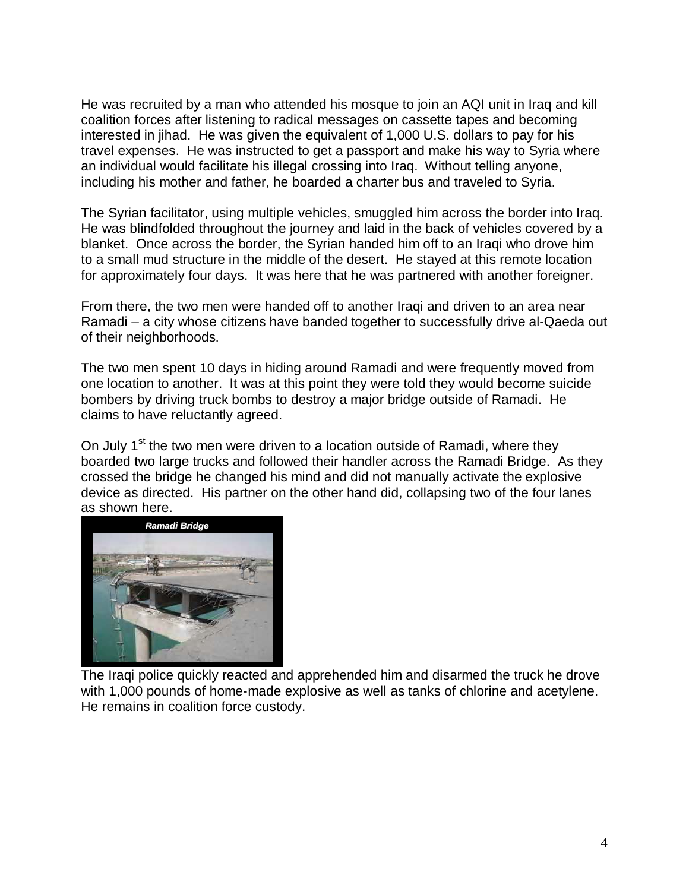He was recruited by a man who attended his mosque to join an AQI unit in Iraq and kill coalition forces after listening to radical messages on cassette tapes and becoming interested in jihad. He was given the equivalent of 1,000 U.S. dollars to pay for his travel expenses. He was instructed to get a passport and make his way to Syria where an individual would facilitate his illegal crossing into Iraq. Without telling anyone, including his mother and father, he boarded a charter bus and traveled to Syria.

The Syrian facilitator, using multiple vehicles, smuggled him across the border into Iraq. He was blindfolded throughout the journey and laid in the back of vehicles covered by a blanket. Once across the border, the Syrian handed him off to an Iraqi who drove him to a small mud structure in the middle of the desert. He stayed at this remote location for approximately four days. It was here that he was partnered with another foreigner.

From there, the two men were handed off to another Iraqi and driven to an area near Ramadi – a city whose citizens have banded together to successfully drive al-Qaeda out of their neighborhoods.

The two men spent 10 days in hiding around Ramadi and were frequently moved from one location to another. It was at this point they were told they would become suicide bombers by driving truck bombs to destroy a major bridge outside of Ramadi. He claims to have reluctantly agreed.

On July 1<sup>st</sup> the two men were driven to a location outside of Ramadi, where they boarded two large trucks and followed their handler across the Ramadi Bridge. As they crossed the bridge he changed his mind and did not manually activate the explosive device as directed. His partner on the other hand did, collapsing two of the four lanes as shown here.



The Iraqi police quickly reacted and apprehended him and disarmed the truck he drove with 1,000 pounds of home-made explosive as well as tanks of chlorine and acetylene. He remains in coalition force custody.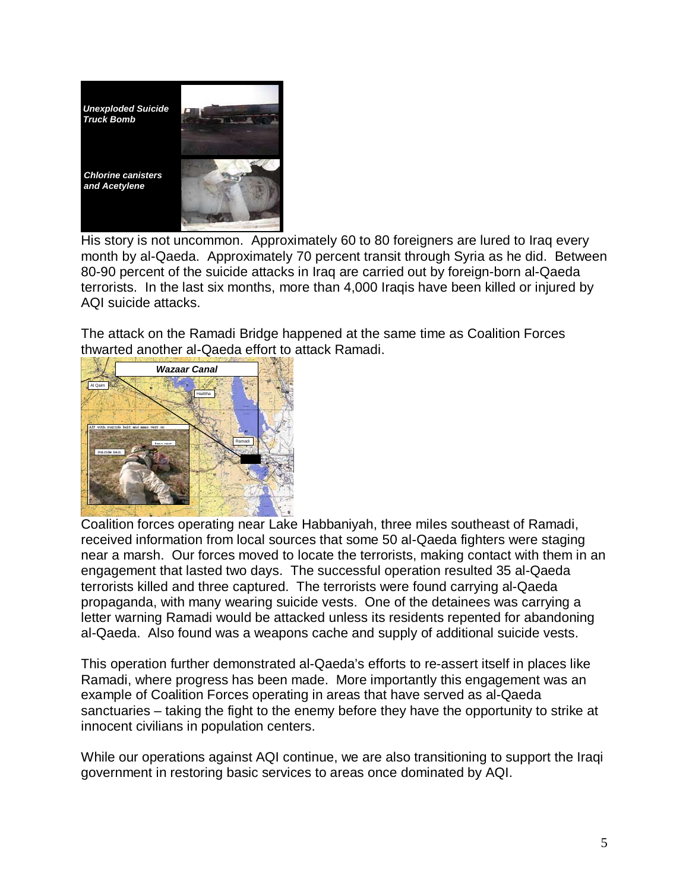

His story is not uncommon. Approximately 60 to 80 foreigners are lured to Iraq every month by al-Qaeda. Approximately 70 percent transit through Syria as he did. Between 80-90 percent of the suicide attacks in Iraq are carried out by foreign-born al-Qaeda terrorists. In the last six months, more than 4,000 Iraqis have been killed or injured by AQI suicide attacks.

The attack on the Ramadi Bridge happened at the same time as Coalition Forces thwarted another al-Qaeda effort to attack Ramadi.



Coalition forces operating near Lake Habbaniyah, three miles southeast of Ramadi, received information from local sources that some 50 al-Qaeda fighters were staging near a marsh. Our forces moved to locate the terrorists, making contact with them in an engagement that lasted two days. The successful operation resulted 35 al-Qaeda terrorists killed and three captured. The terrorists were found carrying al-Qaeda propaganda, with many wearing suicide vests. One of the detainees was carrying a letter warning Ramadi would be attacked unless its residents repented for abandoning al-Qaeda. Also found was a weapons cache and supply of additional suicide vests.

This operation further demonstrated al-Qaeda's efforts to re-assert itself in places like Ramadi, where progress has been made. More importantly this engagement was an example of Coalition Forces operating in areas that have served as al-Qaeda sanctuaries – taking the fight to the enemy before they have the opportunity to strike at innocent civilians in population centers.

While our operations against AQI continue, we are also transitioning to support the Iraqi government in restoring basic services to areas once dominated by AQI.